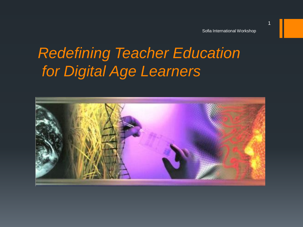# *Redefining Teacher Education for Digital Age Learners*

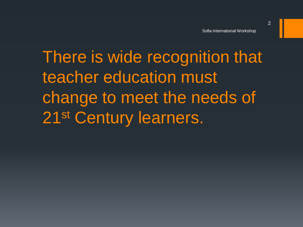There is wide recognition that teacher education must change to meet the needs of 21<sup>st</sup> Century learners.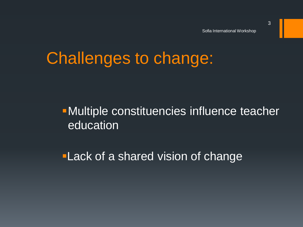# Challenges to change:

#### Multiple constituencies influence teacher education

**-Lack of a shared vision of change**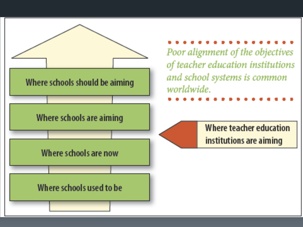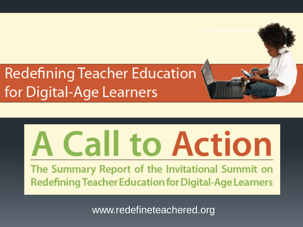**Redefining Teacher Education** for Digital-Age Learners

# **A Call to Action** The Summary Report of the Invitational Summit on **Redefining Teacher Education for Digital-Age Learners**

5

www.redefineteachered.org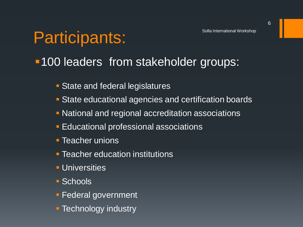# Participants:

#### **100 leaders from stakeholder groups:**

- **State and federal legislatures**
- State educational agencies and certification boards
- National and regional accreditation associations
- **Educational professional associations**
- **Teacher unions**
- **Teacher education institutions**
- **Universities**
- Schools
- **Federal government**
- **Technology industry**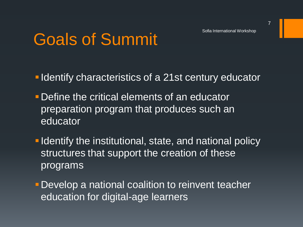# Goals of Summit

**I** Identify characteristics of a 21st century educator

- **Define the critical elements of an educator** preparation program that produces such an educator
- **-Identify the institutional, state, and national policy** structures that support the creation of these programs
- **Develop a national coalition to reinvent teacher** education for digital-age learners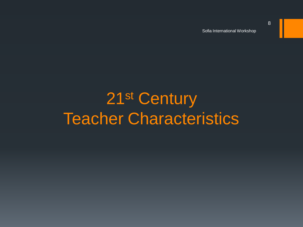Sofia International Workshop

# 21st Century Teacher Characteristics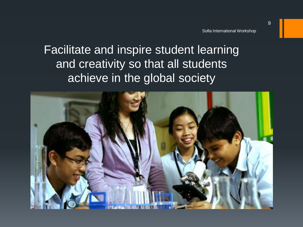#### Facilitate and inspire student learning and creativity so that all students achieve in the global society

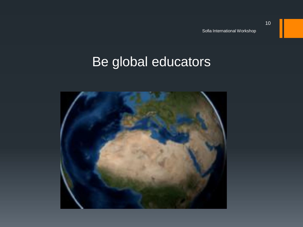Sofia International Workshop

## Be global educators

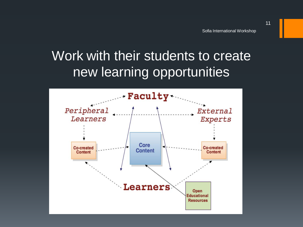## Work with their students to create new learning opportunities

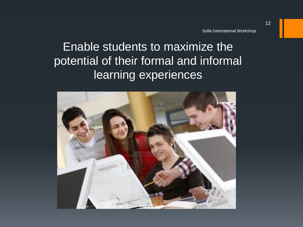Sofia International Workshop

### Enable students to maximize the potential of their formal and informal learning experiences

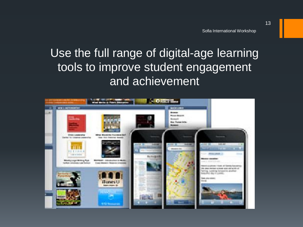### Use the full range of digital-age learning tools to improve student engagement and achievement

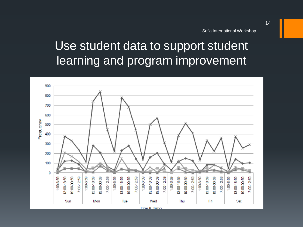## Use student data to support student learning and program improvement

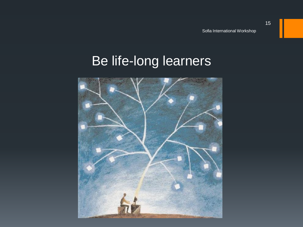## Be life-long learners

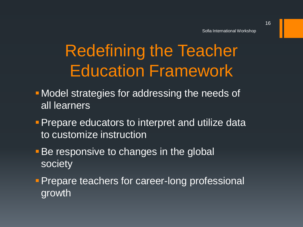# Redefining the Teacher Education Framework

- **I** Model strategies for addressing the needs of all learners
- **Prepare educators to interpret and utilize data** to customize instruction
- **Be responsive to changes in the global** society
- **Prepare teachers for career-long professional** growth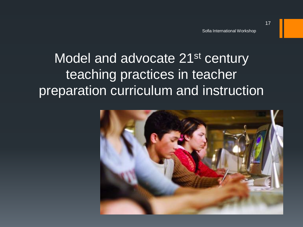## Model and advocate 21<sup>st</sup> century teaching practices in teacher preparation curriculum and instruction

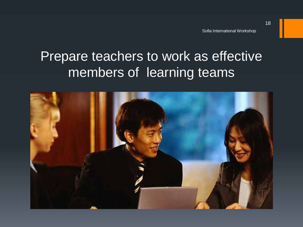## Prepare teachers to work as effective members of learning teams

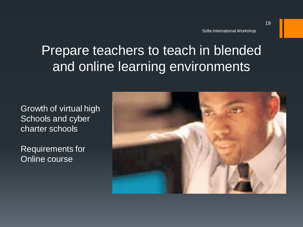## Prepare teachers to teach in blended and online learning environments

Growth of virtual high Schools and cyber charter schools

Requirements for Online course

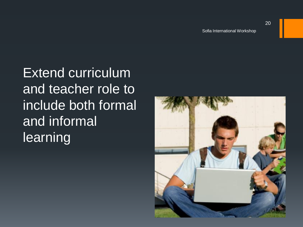Extend curriculum and teacher role to include both formal and informal learning

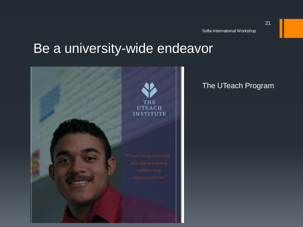### Be a university-wide endeavor



#### The UTeach Program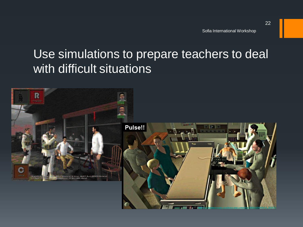#### Use simulations to prepare teachers to deal with difficult situations

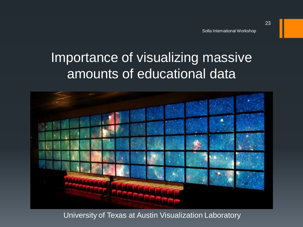## Importance of visualizing massive amounts of educational data



University of Texas at Austin Visualization Laboratory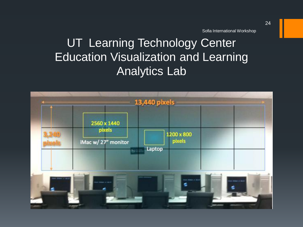Sofia International Workshop

### UT Learning Technology Center Education Visualization and Learning Analytics Lab

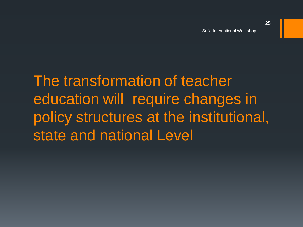# The transformation of teacher education will require changes in policy structures at the institutional, state and national Level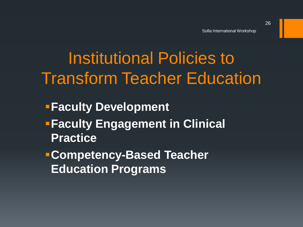# Institutional Policies to Transform Teacher Education

- **Faculty Development Faculty Engagement in Clinical Practice**
- **Competency-Based Teacher Education Programs**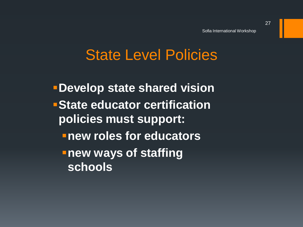# State Level Policies

**Develop state shared vision State educator certification policies must support: new roles for educators new ways of staffing schools**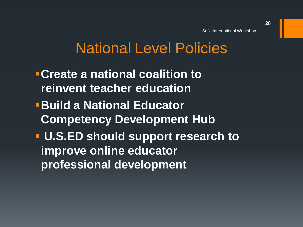## National Level Policies

- **Create a national coalition to reinvent teacher education**
- **Build a National Educator Competency Development Hub**
- **U.S.ED should support research to improve online educator professional development**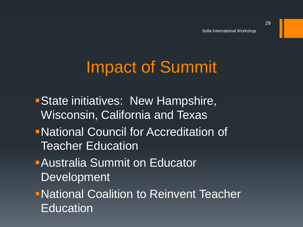# Impact of Summit

- **State initiatives: New Hampshire,** Wisconsin, California and Texas
- National Council for Accreditation of Teacher Education
- Australia Summit on Educator **Development**
- National Coalition to Reinvent Teacher **Education**